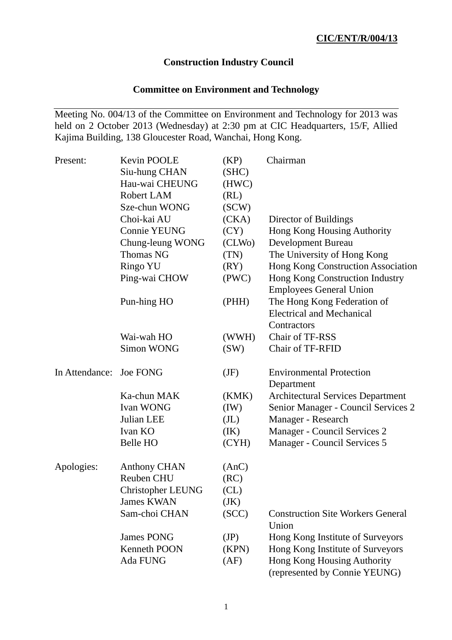# **Construction Industry Council**

## **Committee on Environment and Technology**

Meeting No. 004/13 of the Committee on Environment and Technology for 2013 was held on 2 October 2013 (Wednesday) at 2:30 pm at CIC Headquarters, 15/F, Allied Kajima Building, 138 Gloucester Road, Wanchai, Hong Kong.

| Present:                | <b>Kevin POOLE</b>       | (KP)              | Chairman                                                     |
|-------------------------|--------------------------|-------------------|--------------------------------------------------------------|
|                         | Siu-hung CHAN            | (SHC)             |                                                              |
|                         | Hau-wai CHEUNG           | (HWC)             |                                                              |
|                         | <b>Robert LAM</b>        | (RL)              |                                                              |
|                         | Sze-chun WONG            | SCW)              |                                                              |
|                         | Choi-kai AU              | (CKA)             | Director of Buildings                                        |
|                         | <b>Connie YEUNG</b>      | (CY)              | Hong Kong Housing Authority                                  |
|                         | Chung-leung WONG         | (CLWo)            | <b>Development Bureau</b>                                    |
|                         | <b>Thomas NG</b>         | (TN)              | The University of Hong Kong                                  |
|                         | Ringo YU                 | (RY)              | Hong Kong Construction Association                           |
|                         | Ping-wai CHOW            | (PWC)             | Hong Kong Construction Industry                              |
|                         |                          |                   | <b>Employees General Union</b>                               |
|                         | Pun-hing HO              | (PHH)             | The Hong Kong Federation of                                  |
|                         |                          |                   | <b>Electrical and Mechanical</b>                             |
|                         |                          |                   | Contractors                                                  |
|                         | Wai-wah HO               | (WWH)             | Chair of TF-RSS                                              |
|                         | <b>Simon WONG</b>        | (SW)              | Chair of TF-RFID                                             |
| In Attendance: Joe FONG |                          | (JF)              | <b>Environmental Protection</b>                              |
|                         |                          |                   | Department                                                   |
|                         | Ka-chun MAK              | (KMK)             | <b>Architectural Services Department</b>                     |
|                         | Ivan WONG                | (IW)              | Senior Manager - Council Services 2                          |
|                         | Julian LEE               | (J <sub>L</sub> ) | Manager - Research                                           |
|                         | Ivan KO                  | (IK)              | Manager - Council Services 2                                 |
|                         | Belle HO                 | (CYH)             | Manager - Council Services 5                                 |
| Apologies:              | <b>Anthony CHAN</b>      | (AnC)             |                                                              |
|                         | Reuben CHU               | (RC)              |                                                              |
|                         | <b>Christopher LEUNG</b> | CL)               |                                                              |
|                         | <b>James KWAN</b>        | (JK)              |                                                              |
|                         | Sam-choi CHAN            | (SCC)             | <b>Construction Site Workers General</b><br>Union            |
|                         | <b>James PONG</b>        | (JP)              | Hong Kong Institute of Surveyors                             |
|                         | <b>Kenneth POON</b>      | (KPN)             | Hong Kong Institute of Surveyors                             |
|                         | Ada FUNG                 | (AF)              | Hong Kong Housing Authority<br>(represented by Connie YEUNG) |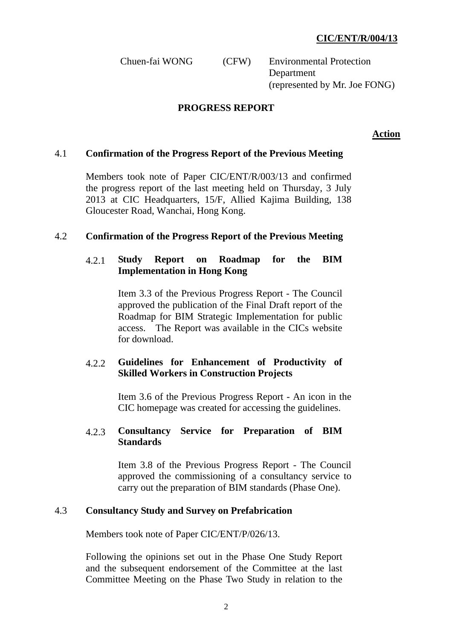Chuen-fai WONG (CFW) Environmental Protection **Department** (represented by Mr. Joe FONG)

#### **PROGRESS REPORT**

**Action**

#### 4.1 **Confirmation of the Progress Report of the Previous Meeting**

Members took note of Paper CIC/ENT/R/003/13 and confirmed the progress report of the last meeting held on Thursday, 3 July 2013 at CIC Headquarters, 15/F, Allied Kajima Building, 138 Gloucester Road, Wanchai, Hong Kong.

#### 4.2 **Confirmation of the Progress Report of the Previous Meeting**

#### 4.2.1 **Study Report on Roadmap for the BIM Implementation in Hong Kong**

Item 3.3 of the Previous Progress Report - The Council approved the publication of the Final Draft report of the Roadmap for BIM Strategic Implementation for public access. The Report was available in the CICs website for download.

### 4.2.2 **Guidelines for Enhancement of Productivity of Skilled Workers in Construction Projects**

 Item 3.6 of the Previous Progress Report - An icon in the CIC homepage was created for accessing the guidelines.

#### 4.2.3 **Consultancy Service for Preparation of BIM Standards**

 Item 3.8 of the Previous Progress Report - The Council approved the commissioning of a consultancy service to carry out the preparation of BIM standards (Phase One).

#### 4.3 **Consultancy Study and Survey on Prefabrication**

Members took note of Paper CIC/ENT/P/026/13.

Following the opinions set out in the Phase One Study Report and the subsequent endorsement of the Committee at the last Committee Meeting on the Phase Two Study in relation to the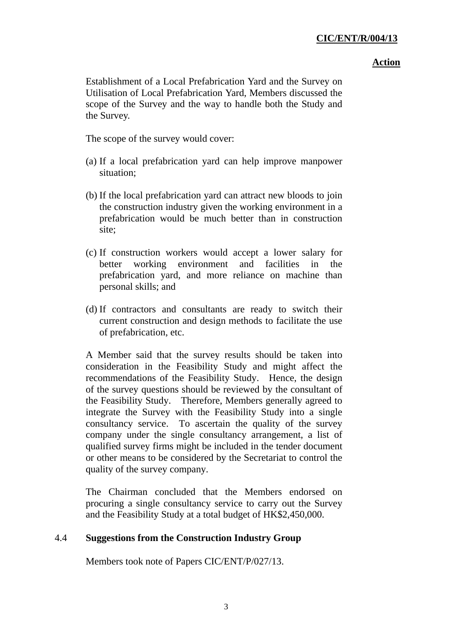#### **Action**

Establishment of a Local Prefabrication Yard and the Survey on Utilisation of Local Prefabrication Yard, Members discussed the scope of the Survey and the way to handle both the Study and the Survey.

The scope of the survey would cover:

- (a) If a local prefabrication yard can help improve manpower situation;
- (b) If the local prefabrication yard can attract new bloods to join the construction industry given the working environment in a prefabrication would be much better than in construction site;
- (c) If construction workers would accept a lower salary for better working environment and facilities in the prefabrication yard, and more reliance on machine than personal skills; and
- (d) If contractors and consultants are ready to switch their current construction and design methods to facilitate the use of prefabrication, etc.

A Member said that the survey results should be taken into consideration in the Feasibility Study and might affect the recommendations of the Feasibility Study. Hence, the design of the survey questions should be reviewed by the consultant of the Feasibility Study. Therefore, Members generally agreed to integrate the Survey with the Feasibility Study into a single consultancy service. To ascertain the quality of the survey company under the single consultancy arrangement, a list of qualified survey firms might be included in the tender document or other means to be considered by the Secretariat to control the quality of the survey company.

The Chairman concluded that the Members endorsed on procuring a single consultancy service to carry out the Survey and the Feasibility Study at a total budget of HK\$2,450,000.

### 4.4 **Suggestions from the Construction Industry Group**

Members took note of Papers CIC/ENT/P/027/13.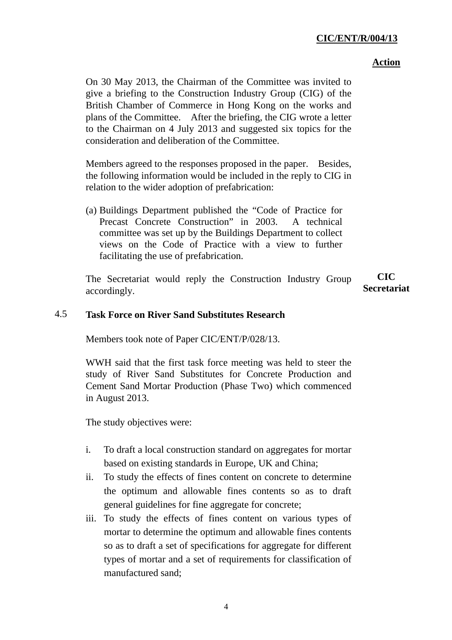#### **Action**

On 30 May 2013, the Chairman of the Committee was invited to give a briefing to the Construction Industry Group (CIG) of the British Chamber of Commerce in Hong Kong on the works and plans of the Committee. After the briefing, the CIG wrote a letter to the Chairman on 4 July 2013 and suggested six topics for the consideration and deliberation of the Committee.

Members agreed to the responses proposed in the paper. Besides, the following information would be included in the reply to CIG in relation to the wider adoption of prefabrication:

(a) Buildings Department published the "Code of Practice for Precast Concrete Construction" in 2003. A technical committee was set up by the Buildings Department to collect views on the Code of Practice with a view to further facilitating the use of prefabrication.

The Secretariat would reply the Construction Industry Group accordingly. **CIC Secretariat** 

### 4.5 **Task Force on River Sand Substitutes Research**

Members took note of Paper CIC/ENT/P/028/13.

WWH said that the first task force meeting was held to steer the study of River Sand Substitutes for Concrete Production and Cement Sand Mortar Production (Phase Two) which commenced in August 2013.

The study objectives were:

- i. To draft a local construction standard on aggregates for mortar based on existing standards in Europe, UK and China;
- ii. To study the effects of fines content on concrete to determine the optimum and allowable fines contents so as to draft general guidelines for fine aggregate for concrete;
- iii. To study the effects of fines content on various types of mortar to determine the optimum and allowable fines contents so as to draft a set of specifications for aggregate for different types of mortar and a set of requirements for classification of manufactured sand;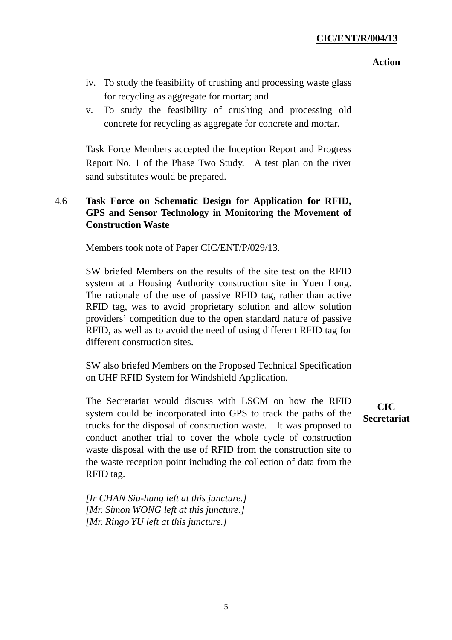#### **Action**

- iv. To study the feasibility of crushing and processing waste glass for recycling as aggregate for mortar; and
- v. To study the feasibility of crushing and processing old concrete for recycling as aggregate for concrete and mortar.

Task Force Members accepted the Inception Report and Progress Report No. 1 of the Phase Two Study. A test plan on the river sand substitutes would be prepared.

## 4.6 **Task Force on Schematic Design for Application for RFID, GPS and Sensor Technology in Monitoring the Movement of Construction Waste**

Members took note of Paper CIC/ENT/P/029/13.

SW briefed Members on the results of the site test on the RFID system at a Housing Authority construction site in Yuen Long. The rationale of the use of passive RFID tag, rather than active RFID tag, was to avoid proprietary solution and allow solution providers' competition due to the open standard nature of passive RFID, as well as to avoid the need of using different RFID tag for different construction sites.

SW also briefed Members on the Proposed Technical Specification on UHF RFID System for Windshield Application.

The Secretariat would discuss with LSCM on how the RFID system could be incorporated into GPS to track the paths of the trucks for the disposal of construction waste. It was proposed to conduct another trial to cover the whole cycle of construction waste disposal with the use of RFID from the construction site to the waste reception point including the collection of data from the RFID tag.

**CIC Secretariat**

*[Ir CHAN Siu-hung left at this juncture.] [Mr. Simon WONG left at this juncture.] [Mr. Ringo YU left at this juncture.]*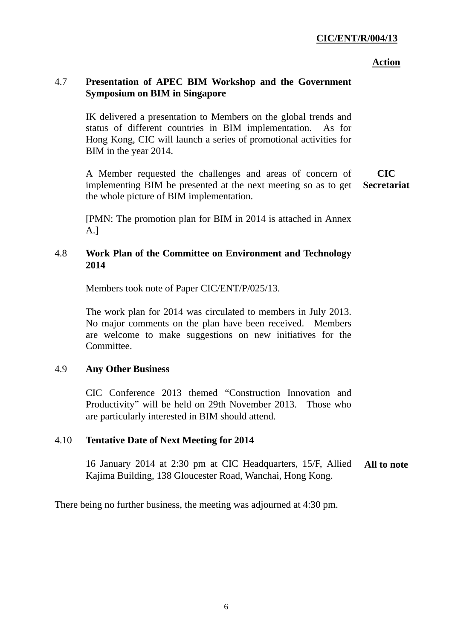#### **Action**

## 4.7 **Presentation of APEC BIM Workshop and the Government Symposium on BIM in Singapore**

IK delivered a presentation to Members on the global trends and status of different countries in BIM implementation. As for Hong Kong, CIC will launch a series of promotional activities for BIM in the year 2014.

A Member requested the challenges and areas of concern of implementing BIM be presented at the next meeting so as to get the whole picture of BIM implementation. **CIC Secretariat**

[PMN: The promotion plan for BIM in 2014 is attached in Annex A.]

## 4.8 **Work Plan of the Committee on Environment and Technology 2014**

Members took note of Paper CIC/ENT/P/025/13.

The work plan for 2014 was circulated to members in July 2013. No major comments on the plan have been received. Members are welcome to make suggestions on new initiatives for the Committee.

## 4.9 **Any Other Business**

CIC Conference 2013 themed "Construction Innovation and Productivity" will be held on 29th November 2013. Those who are particularly interested in BIM should attend.

## 4.10 **Tentative Date of Next Meeting for 2014**

16 January 2014 at 2:30 pm at CIC Headquarters, 15/F, Allied Kajima Building, 138 Gloucester Road, Wanchai, Hong Kong. **All to note** 

There being no further business, the meeting was adjourned at 4:30 pm.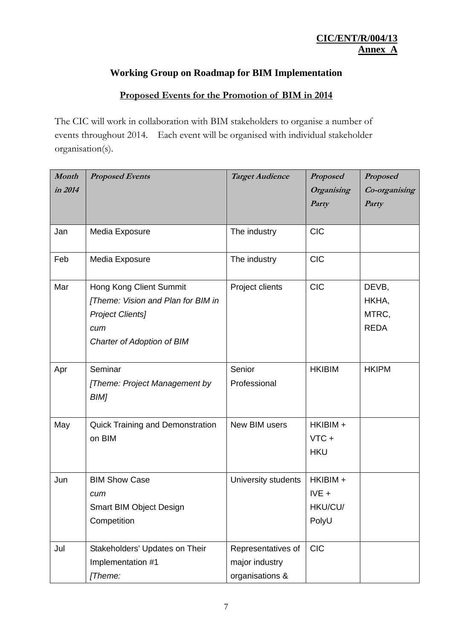# **Working Group on Roadmap for BIM Implementation**

# **Proposed Events for the Promotion of BIM in 2014**

The CIC will work in collaboration with BIM stakeholders to organise a number of events throughout 2014. Each event will be organised with individual stakeholder organisation(s).

| Month   | <b>Proposed Events</b>                  | <b>Target Audience</b> | <b>Proposed</b>   | <b>Proposed</b> |
|---------|-----------------------------------------|------------------------|-------------------|-----------------|
| in 2014 |                                         |                        | <b>Organising</b> | Co-organising   |
|         |                                         |                        | Party             | Party           |
|         |                                         |                        |                   |                 |
| Jan     | Media Exposure                          | The industry           | <b>CIC</b>        |                 |
| Feb     | Media Exposure                          | The industry           | <b>CIC</b>        |                 |
| Mar     | Hong Kong Client Summit                 | Project clients        | <b>CIC</b>        | DEVB,           |
|         | [Theme: Vision and Plan for BIM in      |                        |                   | HKHA,           |
|         | <b>Project Clients]</b>                 |                        |                   | MTRC,           |
|         | cum                                     |                        |                   | <b>REDA</b>     |
|         | Charter of Adoption of BIM              |                        |                   |                 |
|         |                                         |                        |                   |                 |
| Apr     | Seminar                                 | Senior                 | <b>HKIBIM</b>     | <b>HKIPM</b>    |
|         | [Theme: Project Management by           | Professional           |                   |                 |
|         | BIM]                                    |                        |                   |                 |
| May     | <b>Quick Training and Demonstration</b> | New BIM users          | HKIBIM +          |                 |
|         | on BIM                                  |                        | $VTC +$           |                 |
|         |                                         |                        | <b>HKU</b>        |                 |
|         |                                         |                        |                   |                 |
| Jun     | <b>BIM Show Case</b>                    | University students    | HKIBIM +          |                 |
|         | cum                                     |                        | $IVE +$           |                 |
|         | <b>Smart BIM Object Design</b>          |                        | HKU/CU/           |                 |
|         | Competition                             |                        | PolyU             |                 |
|         |                                         |                        |                   |                 |
| Jul     | Stakeholders' Updates on Their          | Representatives of     | <b>CIC</b>        |                 |
|         | Implementation #1                       | major industry         |                   |                 |
|         | [Theme:                                 | organisations &        |                   |                 |